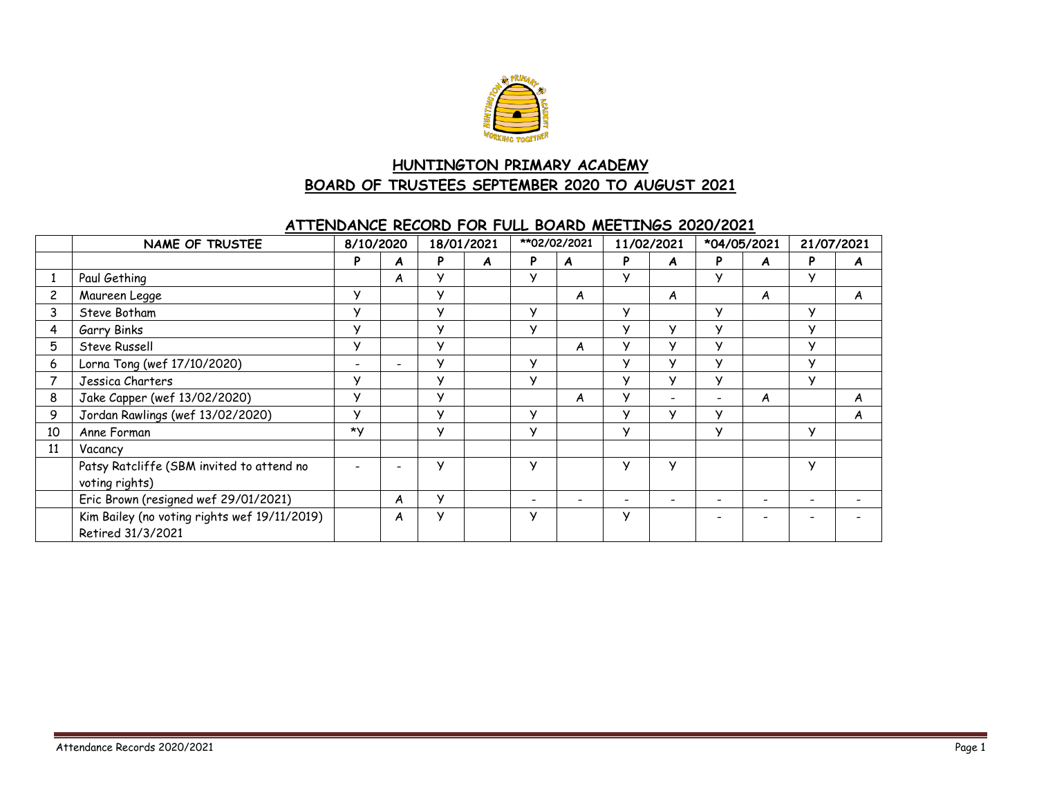

# **HUNTINGTON PRIMARY ACADEMY BOARD OF TRUSTEES SEPTEMBER 2020 TO AUGUST 2021**

#### **ATTENDANCE RECORD FOR FULL BOARD MEETINGS 2020/2021**

|    | <b>NAME OF TRUSTEE</b>                                            | 8/10/2020                |   | 18/01/2021   |   | **02/02/2021 |   | 11/02/2021 |                          | *04/05/2021              |   | 21/07/2021   |   |
|----|-------------------------------------------------------------------|--------------------------|---|--------------|---|--------------|---|------------|--------------------------|--------------------------|---|--------------|---|
|    |                                                                   | P                        | A | P            | A | P            | A | P          | A                        | P                        | A | P            | A |
|    | Paul Gething                                                      |                          | A | v            |   | v            |   | $\vee$     |                          | $\vee$                   |   | $\checkmark$ |   |
|    | Maureen Legge                                                     | $\vee$                   |   | v            |   |              | A |            | A                        |                          | A |              | A |
| 3  | Steve Botham                                                      | $\vee$                   |   | $\checkmark$ |   | $\checkmark$ |   | У          |                          | v                        |   | $\checkmark$ |   |
|    | <b>Garry Binks</b>                                                | v                        |   | ۷            |   | ٧            |   | У          | v                        | v                        |   | $\checkmark$ |   |
| 5  | Steve Russell                                                     | У                        |   | У            |   |              | A | У          | У                        | $\vee$                   |   | $\checkmark$ |   |
| 6  | Lorna Tong (wef 17/10/2020)                                       | $\overline{\phantom{0}}$ | - | $\vee$       |   | v            |   | У          | v                        | $\vee$                   |   | $\checkmark$ |   |
|    | Jessica Charters                                                  | У                        |   | v            |   | $\vee$       |   | У          | v                        | $\vee$                   |   | $\vee$       |   |
| 8  | Jake Capper (wef 13/02/2020)                                      | У                        |   | v            |   |              | A | У          | $\overline{\phantom{0}}$ | $\overline{\phantom{0}}$ | A |              | A |
| 9  | Jordan Rawlings (wef 13/02/2020)                                  | У                        |   | ۷            |   | ٧            |   | У          | v                        | $\mathsf{v}$             |   |              | A |
| 10 | Anne Forman                                                       | *Y                       |   | ۷            |   | v            |   | У          |                          | $\vee$                   |   | $\checkmark$ |   |
| 11 | Vacancy                                                           |                          |   |              |   |              |   |            |                          |                          |   |              |   |
|    | Patsy Ratcliffe (SBM invited to attend no                         |                          |   | ۷            |   | $\checkmark$ |   | У          | v                        |                          |   | $\checkmark$ |   |
|    | voting rights)                                                    |                          |   |              |   |              |   |            |                          |                          |   |              |   |
|    | Eric Brown (resigned wef 29/01/2021)                              |                          | A | У            |   |              |   |            |                          |                          |   |              |   |
|    | Kim Bailey (no voting rights wef 19/11/2019)<br>Retired 31/3/2021 |                          | A | У            |   | $\checkmark$ |   | У          |                          |                          |   |              |   |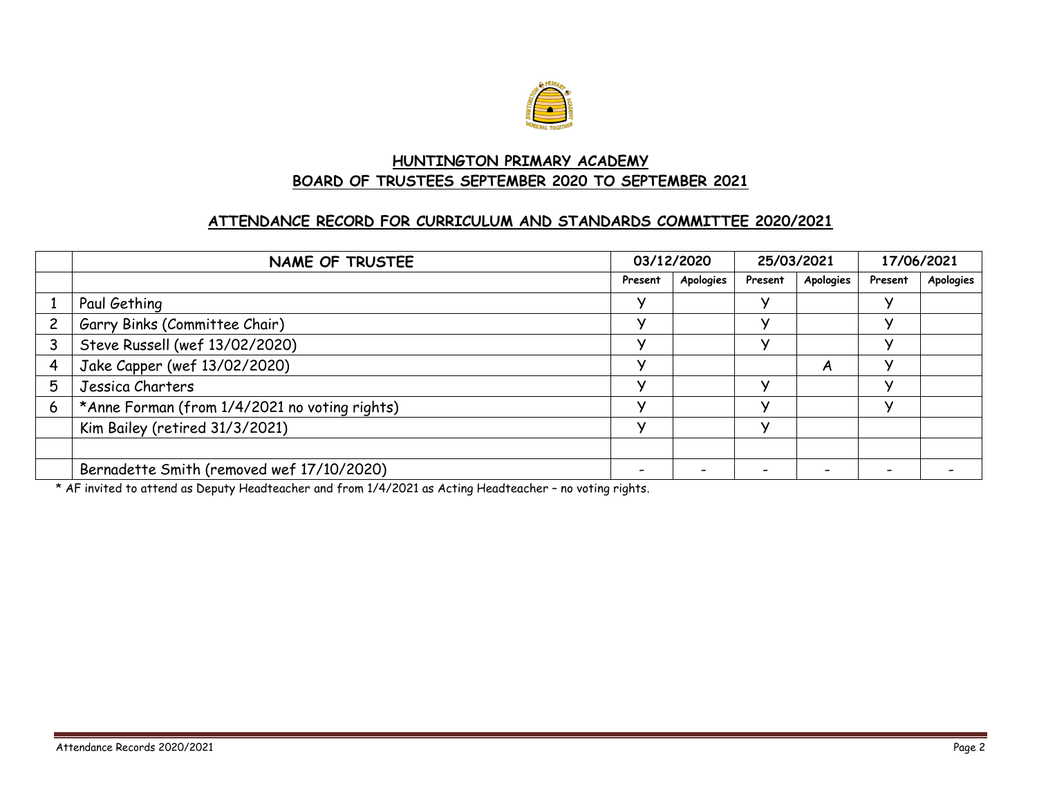

## **HUNTINGTON PRIMARY ACADEMY BOARD OF TRUSTEES SEPTEMBER 2020 TO SEPTEMBER 2021**

#### **ATTENDANCE RECORD FOR CURRICULUM AND STANDARDS COMMITTEE 2020/2021**

|   | NAME OF TRUSTEE                               |         | 03/12/2020 |         | 25/03/2021 |         | 17/06/2021 |
|---|-----------------------------------------------|---------|------------|---------|------------|---------|------------|
|   |                                               | Present | Apologies  | Present | Apologies  | Present | Apologies  |
|   | Paul Gething                                  |         |            |         |            |         |            |
|   | Garry Binks (Committee Chair)                 |         |            |         |            |         |            |
|   | Steve Russell (wef 13/02/2020)                |         |            |         |            |         |            |
|   | Jake Capper (wef 13/02/2020)                  |         |            |         | A          |         |            |
| 5 | Jessica Charters                              |         |            |         |            |         |            |
| 6 | *Anne Forman (from 1/4/2021 no voting rights) |         |            | v       |            |         |            |
|   | Kim Bailey (retired 31/3/2021)                |         |            | v       |            |         |            |
|   |                                               |         |            |         |            |         |            |
|   | Bernadette Smith (removed wef 17/10/2020)     |         |            |         |            |         |            |

\* AF invited to attend as Deputy Headteacher and from 1/4/2021 as Acting Headteacher – no voting rights.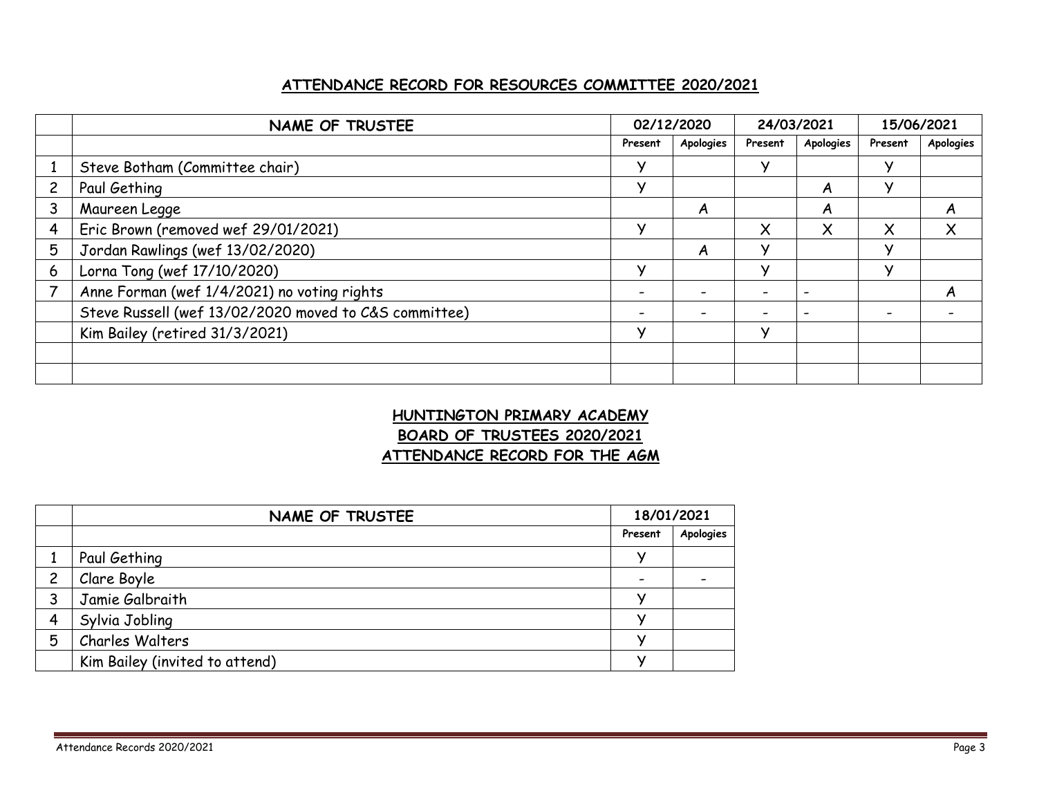## **ATTENDANCE RECORD FOR RESOURCES COMMITTEE 2020/2021**

|   | NAME OF TRUSTEE                                       | 02/12/2020 |           | 24/03/2021   |           | 15/06/2021 |           |
|---|-------------------------------------------------------|------------|-----------|--------------|-----------|------------|-----------|
|   |                                                       | Present    | Apologies | Present      | Apologies | Present    | Apologies |
|   | Steve Botham (Committee chair)                        | v          |           | v            |           |            |           |
|   | Paul Gething                                          | v          |           |              | A         |            |           |
| 3 | Maureen Legge                                         |            | A         |              | A         |            | A         |
| 4 | Eric Brown (removed wef 29/01/2021)                   | v          |           | X            | X         | X          | X         |
| 5 | Jordan Rawlings (wef 13/02/2020)                      |            | A         | $\checkmark$ |           |            |           |
| 6 | Lorna Tong (wef 17/10/2020)                           |            |           | N            |           |            |           |
|   | Anne Forman (wef 1/4/2021) no voting rights           |            |           |              |           |            | A         |
|   | Steve Russell (wef 13/02/2020 moved to C&S committee) |            |           |              |           |            |           |
|   | Kim Bailey (retired 31/3/2021)                        | v          |           | v            |           |            |           |
|   |                                                       |            |           |              |           |            |           |
|   |                                                       |            |           |              |           |            |           |

# **HUNTINGTON PRIMARY ACADEMY BOARD OF TRUSTEES 2020/2021 ATTENDANCE RECORD FOR THE AGM**

|                | NAME OF TRUSTEE                |                          | 18/01/2021 |
|----------------|--------------------------------|--------------------------|------------|
|                |                                | Present                  | Apologies  |
|                | Paul Gething                   | 丷                        |            |
| $\overline{c}$ | Clare Boyle                    | $\overline{\phantom{0}}$ |            |
| 3              | Jamie Galbraith                |                          |            |
| Δ              | Sylvia Jobling                 |                          |            |
| 5              | Charles Walters                |                          |            |
|                | Kim Bailey (invited to attend) |                          |            |